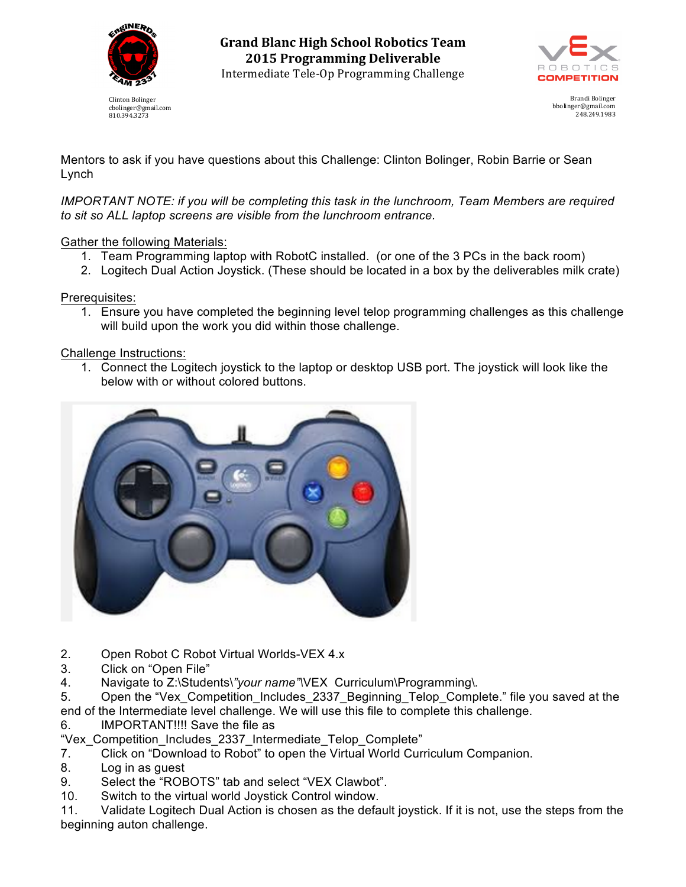

Clinton Bolinger cbolinger@gmail.com 810.394.3273

**Grand Blanc High School Robotics Team 2015 Programming Deliverable** Intermediate Tele-Op Programming Challenge



Brandi Bolinger bbolinger@gmail.com 248.249.1983

Mentors to ask if you have questions about this Challenge: Clinton Bolinger, Robin Barrie or Sean Lynch

*IMPORTANT NOTE: if you will be completing this task in the lunchroom, Team Members are required to sit so ALL laptop screens are visible from the lunchroom entrance.*

Gather the following Materials:

- 1. Team Programming laptop with RobotC installed. (or one of the 3 PCs in the back room)
- 2. Logitech Dual Action Joystick. (These should be located in a box by the deliverables milk crate)

Prerequisites:

1. Ensure you have completed the beginning level telop programming challenges as this challenge will build upon the work you did within those challenge.

Challenge Instructions:

1. Connect the Logitech joystick to the laptop or desktop USB port. The joystick will look like the below with or without colored buttons.



- 2. Open Robot C Robot Virtual Worlds-VEX 4.x
- 3. Click on "Open File"
- 4. Navigate to Z:\Students\*"your name"\*VEX Curriculum\Programming\*.*

5. Open the "Vex Competition Includes 2337 Beginning Telop Complete." file you saved at the end of the Intermediate level challenge. We will use this file to complete this challenge.

- 6. IMPORTANT!!!! Save the file as
- "Vex\_Competition\_Includes\_2337\_Intermediate\_Telop\_Complete"
- 7. Click on "Download to Robot" to open the Virtual World Curriculum Companion.
- 8. Log in as guest
- 9. Select the "ROBOTS" tab and select "VEX Clawbot".
- 10. Switch to the virtual world Joystick Control window.

11. Validate Logitech Dual Action is chosen as the default joystick. If it is not, use the steps from the beginning auton challenge.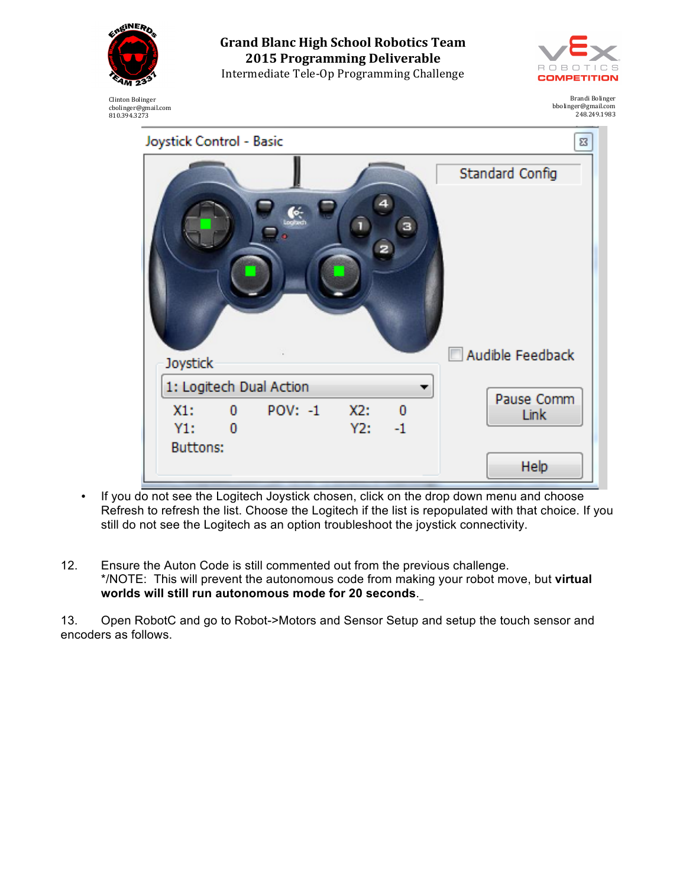

Clinton Bolinger cbolinger@gmail.com 810.394.3273 **Grand Blanc High School Robotics Team 2015 Programming Deliverable** Intermediate Tele-Op Programming Challenge



Brandi Bolinger bbolinger@gmail.com 248.249.1983

| Joystick Control - Basic<br>23 |                            |     |                         |                    |
|--------------------------------|----------------------------|-----|-------------------------|--------------------|
|                                |                            |     |                         | Standard Config    |
| $\mathbf{I}$<br>а              |                            |     |                         |                    |
| Joystick                       |                            |     |                         | Audible Feedback   |
| 1: Logitech Dual Action        |                            |     |                         |                    |
| X1:                            | <b>POV: -1</b><br>$\bf{0}$ | X2: | $\overline{\mathbf{0}}$ | Pause Comm<br>Link |
| Y1:                            | 0                          | Y2: | $-1$                    |                    |
| <b>Buttons:</b>                |                            |     |                         |                    |
|                                |                            |     |                         | Help               |

- If you do not see the Logitech Joystick chosen, click on the drop down menu and choose Refresh to refresh the list. Choose the Logitech if the list is repopulated with that choice. If you still do not see the Logitech as an option troubleshoot the joystick connectivity.
- 12. Ensure the Auton Code is still commented out from the previous challenge. \*/NOTE: This will prevent the autonomous code from making your robot move, but **virtual worlds will still run autonomous mode for 20 seconds**.

13. Open RobotC and go to Robot->Motors and Sensor Setup and setup the touch sensor and encoders as follows.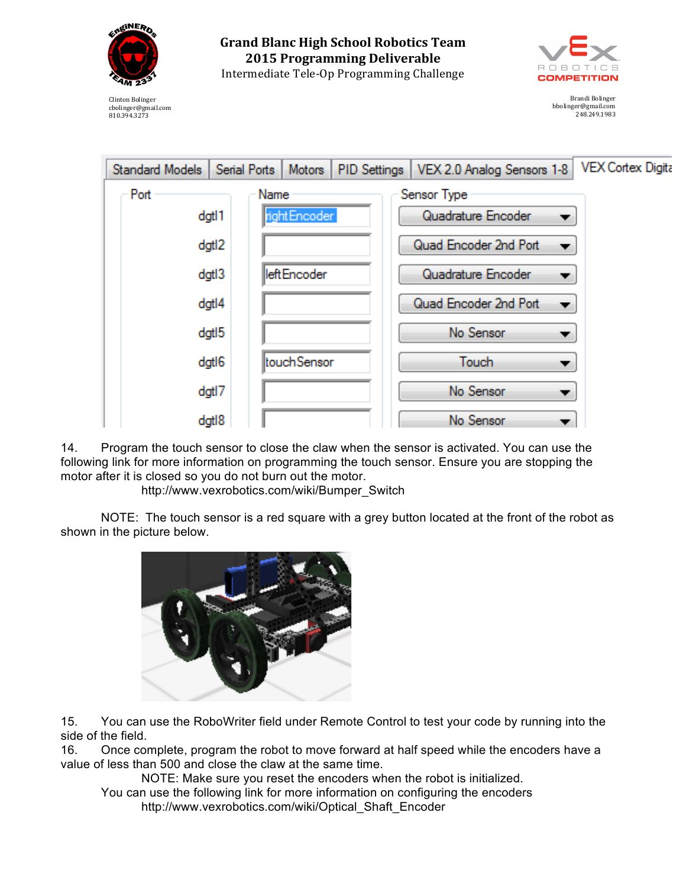

**Grand Blanc High School Robotics Team 2015 Programming Deliverable** Intermediate Tele-Op Programming Challenge



Brandi Bolinger bbolinger@gmail.com 248.249.1983

Clinton Bolinger cbolinger@gmail.com 810.394.3273



14. Program the touch sensor to close the claw when the sensor is activated. You can use the following link for more information on programming the touch sensor. Ensure you are stopping the motor after it is closed so you do not burn out the motor.

http://www.vexrobotics.com/wiki/Bumper\_Switch

NOTE: The touch sensor is a red square with a grey button located at the front of the robot as shown in the picture below.



15. You can use the RoboWriter field under Remote Control to test your code by running into the side of the field.

16. Once complete, program the robot to move forward at half speed while the encoders have a value of less than 500 and close the claw at the same time.

NOTE: Make sure you reset the encoders when the robot is initialized. You can use the following link for more information on configuring the encoders http://www.vexrobotics.com/wiki/Optical\_Shaft\_Encoder